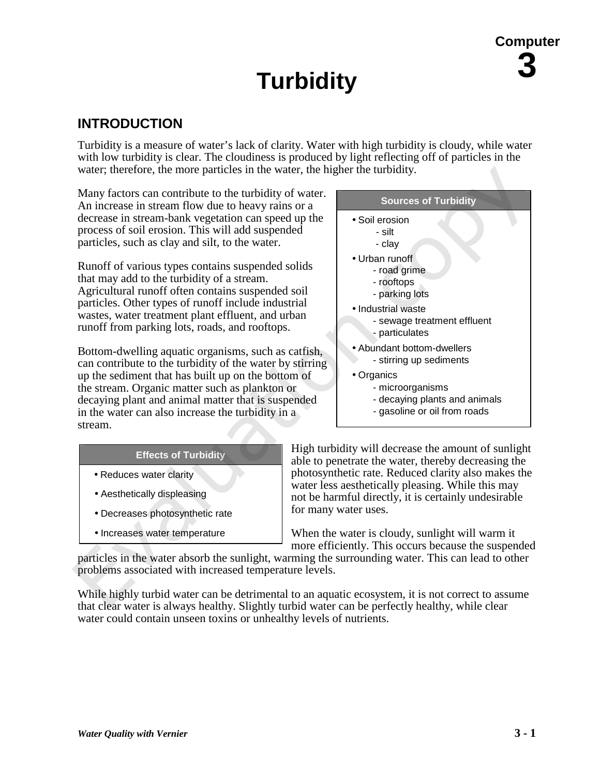## **Turbidity** 3 **Turbidity**

#### **INTRODUCTION**

Turbidity is a measure of water's lack of clarity. Water with high turbidity is cloudy, while water with low turbidity is clear. The cloudiness is produced by light reflecting off of particles in the water; therefore, the more particles in the water, the higher the turbidity.

Many factors can contribute to the turbidity of water. An increase in stream flow due to heavy rains or a decrease in stream-bank vegetation can speed up the process of soil erosion. This will add suspended particles, such as clay and silt, to the water.

Runoff of various types contains suspended solids that may add to the turbidity of a stream. Agricultural runoff often contains suspended soil particles. Other types of runoff include industrial wastes, water treatment plant effluent, and urban runoff from parking lots, roads, and rooftops.

Bottom-dwelling aquatic organisms, such as catfish, can contribute to the turbidity of the water by stirring up the sediment that has built up on the bottom of the stream. Organic matter such as plankton or decaying plant and animal matter that is suspended in the water can also increase the turbidity in a stream.

#### **Effects of Turbidity**

- Reduces water clarity
- Aesthetically displeasing
- Decreases photosynthetic rate
- Increases water temperature

High turbidity will decrease the amount of sunlight able to penetrate the water, thereby decreasing the photosynthetic rate. Reduced clarity also makes the water less aesthetically pleasing. While this may not be harmful directly, it is certainly undesirable for many water uses.

When the water is cloudy, sunlight will warm it more efficiently. This occurs because the suspended

particles in the water absorb the sunlight, warming the surrounding water. This can lead to other problems associated with increased temperature levels.

While highly turbid water can be detrimental to an aquatic ecosystem, it is not correct to assume that clear water is always healthy. Slightly turbid water can be perfectly healthy, while clear water could contain unseen toxins or unhealthy levels of nutrients.



- microorganisms
- decaying plants and animals
- gasoline or oil from roads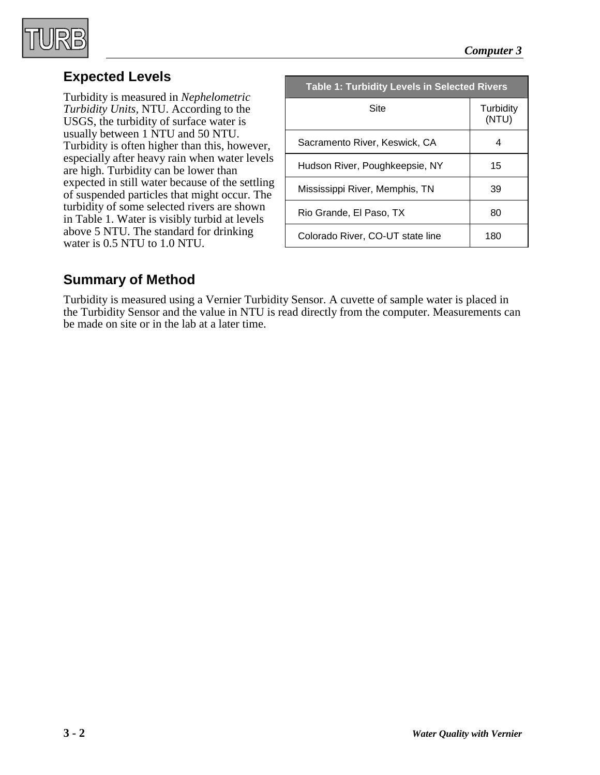

#### **Expected Levels**

Turbidity is measured in *Nephelometric Turbidity Units,* NTU. According to the USGS, the turbidity of surface water is usually between 1 NTU and 50 NTU. Turbidity is often higher than this, however, especially after heavy rain when water levels are high. Turbidity can be lower than expected in still water because of the settling of suspended particles that might occur. The turbidity of some selected rivers are shown in Table 1. Water is visibly turbid at levels above 5 NTU. The standard for drinking water is 0.5 NTU to 1.0 NTU.

| <b>Table 1: Turbidity Levels in Selected Rivers</b> |                    |  |
|-----------------------------------------------------|--------------------|--|
| Site                                                | Turbidity<br>(NTU) |  |
| Sacramento River, Keswick, CA                       | 4                  |  |
| Hudson River, Poughkeepsie, NY                      | 15                 |  |
| Mississippi River, Memphis, TN                      | 39                 |  |
| Rio Grande, El Paso, TX                             | 80                 |  |
| Colorado River, CO-UT state line                    | 180                |  |

#### **Summary of Method**

Turbidity is measured using a Vernier Turbidity Sensor. A cuvette of sample water is placed in the Turbidity Sensor and the value in NTU is read directly from the computer. Measurements can be made on site or in the lab at a later time.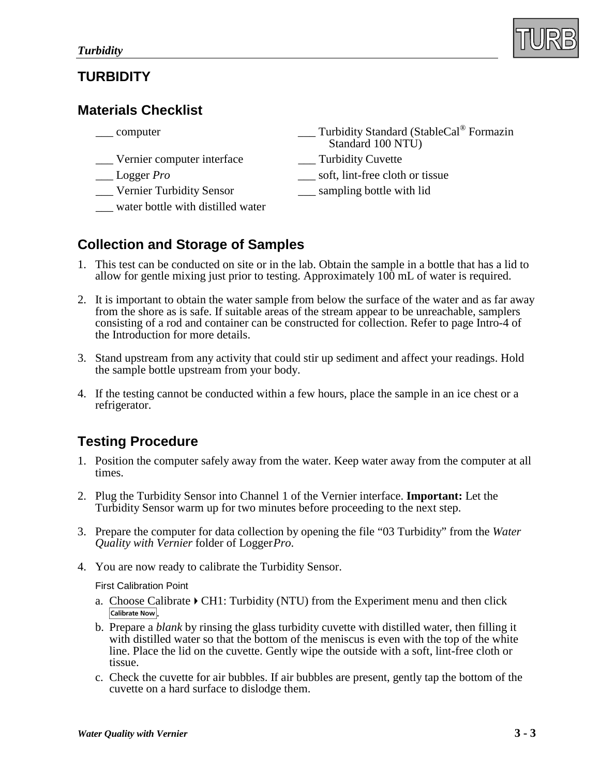#### **TURBIDITY**

#### **Materials Checklist**

| __ computer                                | Turbidity Standard (StableCal <sup>®</sup> Formazin<br>Standard 100 NTU) |
|--------------------------------------------|--------------------------------------------------------------------------|
| Vernier computer interface                 | Turbidity Cuvette                                                        |
| $\overline{\phantom{a}}$ Logger <i>Pro</i> | soft, lint-free cloth or tissue                                          |
| _Vernier Turbidity Sensor                  | sampling bottle with lid                                                 |
| water bottle with distilled water          |                                                                          |
|                                            |                                                                          |

#### **Collection and Storage of Samples**

- 1. This test can be conducted on site or in the lab. Obtain the sample in a bottle that has a lid to allow for gentle mixing just prior to testing. Approximately 100 mL of water is required.
- 2. It is important to obtain the water sample from below the surface of the water and as far away from the shore as is safe. If suitable areas of the stream appear to be unreachable, samplers consisting of a rod and container can be constructed for collection. Refer to page Intro-4 of the Introduction for more details.
- 3. Stand upstream from any activity that could stir up sediment and affect your readings. Hold the sample bottle upstream from your body.
- 4. If the testing cannot be conducted within a few hours, place the sample in an ice chest or a refrigerator.

#### **Testing Procedure**

- 1. Position the computer safely away from the water. Keep water away from the computer at all times.
- 2. Plug the Turbidity Sensor into Channel 1 of the Vernier interface. **Important:** Let the Turbidity Sensor warm up for two minutes before proceeding to the next step.
- 3. Prepare the computer for data collection by opening the file "03 Turbidity" from the *Water Quality with Vernier* folder of Logger*Pro*.
- 4. You are now ready to calibrate the Turbidity Sensor.

First Calibration Point

- a. Choose Calibrate  $\triangleright$  CH1: Turbidity (NTU) from the Experiment menu and then click Calibrate Now
- b. Prepare a *blank* by rinsing the glass turbidity cuvette with distilled water, then filling it with distilled water so that the bottom of the meniscus is even with the top of the white line. Place the lid on the cuvette. Gently wipe the outside with a soft, lint-free cloth or tissue.
- c. Check the cuvette for air bubbles. If air bubbles are present, gently tap the bottom of the cuvette on a hard surface to dislodge them.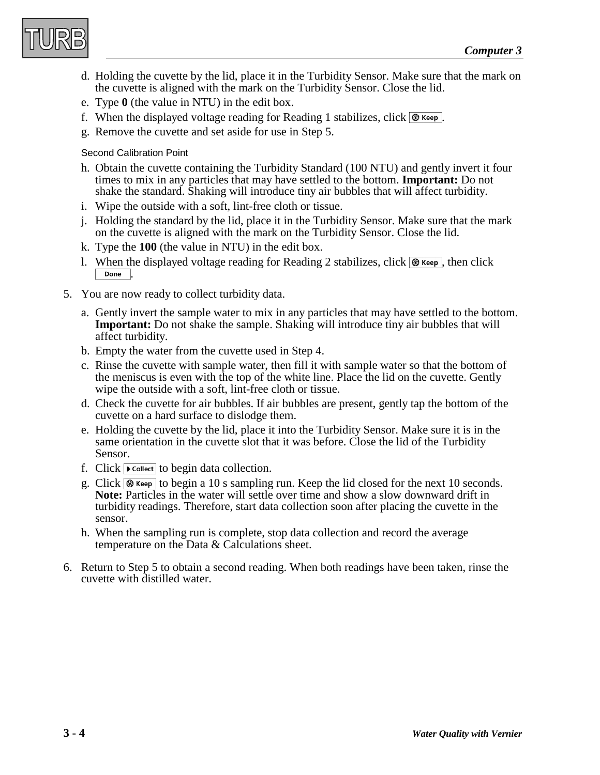

- d. Holding the cuvette by the lid, place it in the Turbidity Sensor. Make sure that the mark on the cuvette is aligned with the mark on the Turbidity Sensor. Close the lid.
- e. Type **0** (the value in NTU) in the edit box.
- f. When the displayed voltage reading for Reading 1 stabilizes, click  $\circledast$  Keep.
- g. Remove the cuvette and set aside for use in Step 5.

#### Second Calibration Point

- h. Obtain the cuvette containing the Turbidity Standard (100 NTU) and gently invert it four times to mix in any particles that may have settled to the bottom. **Important:** Do not shake the standard. Shaking will introduce tiny air bubbles that will affect turbidity.
- i. Wipe the outside with a soft, lint-free cloth or tissue.
- j. Holding the standard by the lid, place it in the Turbidity Sensor. Make sure that the mark on the cuvette is aligned with the mark on the Turbidity Sensor. Close the lid.
- k. Type the **100** (the value in NTU) in the edit box.
- l. When the displayed voltage reading for Reading 2 stabilizes, click  $\circledast$  Keep, then click Done
- 5. You are now ready to collect turbidity data.
	- a. Gently invert the sample water to mix in any particles that may have settled to the bottom. **Important:** Do not shake the sample. Shaking will introduce tiny air bubbles that will affect turbidity.
	- b. Empty the water from the cuvette used in Step 4.
	- c. Rinse the cuvette with sample water, then fill it with sample water so that the bottom of the meniscus is even with the top of the white line. Place the lid on the cuvette. Gently wipe the outside with a soft, lint-free cloth or tissue.
	- d. Check the cuvette for air bubbles. If air bubbles are present, gently tap the bottom of the cuvette on a hard surface to dislodge them.
	- e. Holding the cuvette by the lid, place it into the Turbidity Sensor. Make sure it is in the same orientation in the cuvette slot that it was before. Close the lid of the Turbidity Sensor.
	- f. Click  $\triangleright$  collect to begin data collection.
	- g. Click  $\circledast$  Keep to begin a 10 s sampling run. Keep the lid closed for the next 10 seconds. **Note:** Particles in the water will settle over time and show a slow downward drift in turbidity readings. Therefore, start data collection soon after placing the cuvette in the sensor.
	- h. When the sampling run is complete, stop data collection and record the average temperature on the Data & Calculations sheet.
- 6. Return to Step 5 to obtain a second reading. When both readings have been taken, rinse the cuvette with distilled water.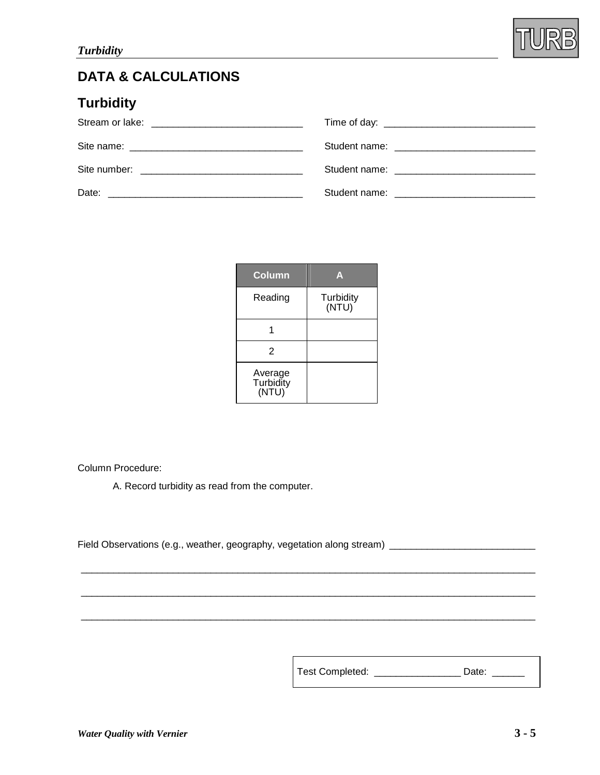

## **DATA & CALCULATIONS**

## **Turbidity**

| Site number: The contract of the contract of the contract of the contract of the contract of the contract of the contract of the contract of the contract of the contract of the contract of the contract of the contract of t |  |
|--------------------------------------------------------------------------------------------------------------------------------------------------------------------------------------------------------------------------------|--|
| Date:                                                                                                                                                                                                                          |  |

| Column                        | A                  |
|-------------------------------|--------------------|
| Reading                       | Turbidity<br>(NTU) |
|                               |                    |
| 2                             |                    |
| Average<br>Turbidity<br>(NTU) |                    |

\_\_\_\_\_\_\_\_\_\_\_\_\_\_\_\_\_\_\_\_\_\_\_\_\_\_\_\_\_\_\_\_\_\_\_\_\_\_\_\_\_\_\_\_\_\_\_\_\_\_\_\_\_\_\_\_\_\_\_\_\_\_\_\_\_\_\_\_\_\_\_\_\_\_\_\_\_\_\_\_\_\_\_\_

\_\_\_\_\_\_\_\_\_\_\_\_\_\_\_\_\_\_\_\_\_\_\_\_\_\_\_\_\_\_\_\_\_\_\_\_\_\_\_\_\_\_\_\_\_\_\_\_\_\_\_\_\_\_\_\_\_\_\_\_\_\_\_\_\_\_\_\_\_\_\_\_\_\_\_\_\_\_\_\_\_\_\_\_

\_\_\_\_\_\_\_\_\_\_\_\_\_\_\_\_\_\_\_\_\_\_\_\_\_\_\_\_\_\_\_\_\_\_\_\_\_\_\_\_\_\_\_\_\_\_\_\_\_\_\_\_\_\_\_\_\_\_\_\_\_\_\_\_\_\_\_\_\_\_\_\_\_\_\_\_\_\_\_\_\_\_\_\_

Column Procedure:

A. Record turbidity as read from the computer.

Field Observations (e.g., weather, geography, vegetation along stream) \_\_\_\_\_\_\_\_\_\_\_\_\_\_\_\_\_\_\_\_\_\_\_\_\_\_\_\_

Test Completed:\_\_\_\_\_\_\_\_\_\_\_\_\_\_\_\_ Date:\_\_\_\_\_\_